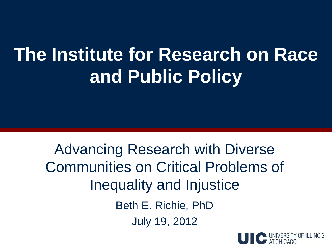## **The Institute for Research on Race and Public Policy**

Advancing Research with Diverse Communities on Critical Problems of Inequality and Injustice Beth E. Richie, PhD July 19, 2012

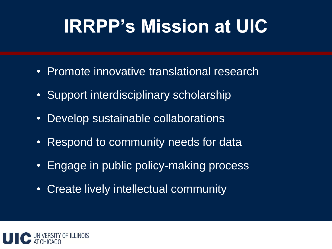## **IRRPP's Mission at UIC**

- Promote innovative translational research
- Support interdisciplinary scholarship
- Develop sustainable collaborations
- Respond to community needs for data
- Engage in public policy-making process
- Create lively intellectual community

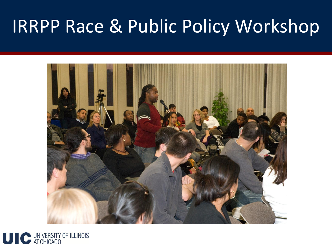### IRRPP Race & Public Policy Workshop



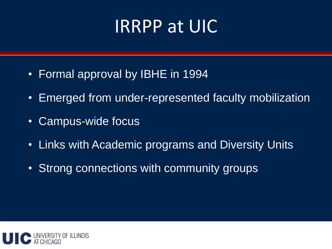#### IRRPP at UIC

- Formal approval by IBHE in 1994
- Emerged from under-represented faculty mobilization
- Campus-wide focus
- Links with Academic programs and Diversity Units
- Strong connections with community groups

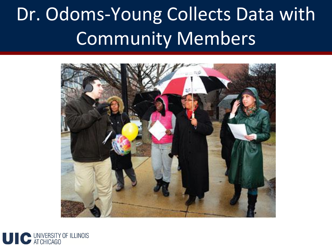## Dr. Odoms-Young Collects Data with Community Members



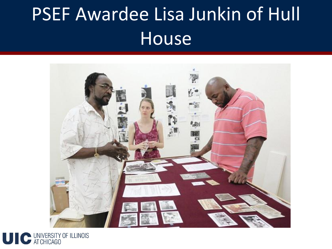## PSEF Awardee Lisa Junkin of Hull House



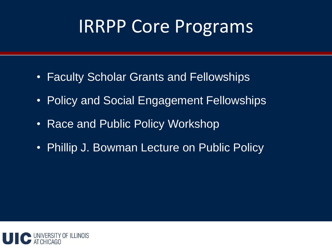### IRRPP Core Programs

- Faculty Scholar Grants and Fellowships
- Policy and Social Engagement Fellowships
- Race and Public Policy Workshop
- Phillip J. Bowman Lecture on Public Policy

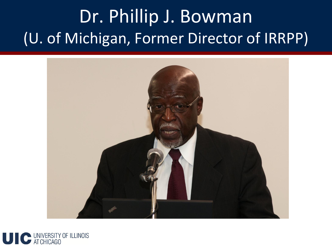### Dr. Phillip J. Bowman (U. of Michigan, Former Director of IRRPP)



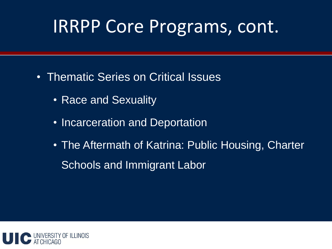#### IRRPP Core Programs, cont.

- Thematic Series on Critical Issues
	- Race and Sexuality
	- Incarceration and Deportation
	- The Aftermath of Katrina: Public Housing, Charter Schools and Immigrant Labor

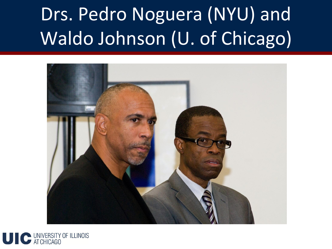# Drs. Pedro Noguera (NYU) and Waldo Johnson (U. of Chicago)



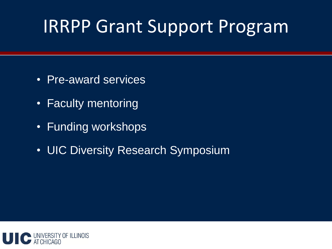### IRRPP Grant Support Program

- Pre-award services
- Faculty mentoring
- Funding workshops
- UIC Diversity Research Symposium

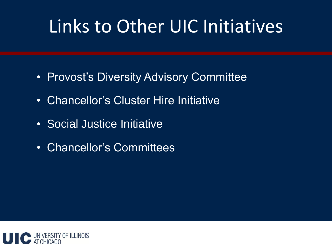### Links to Other UIC Initiatives

- Provost's Diversity Advisory Committee
- Chancellor's Cluster Hire Initiative
- Social Justice Initiative
- Chancellor's Committees

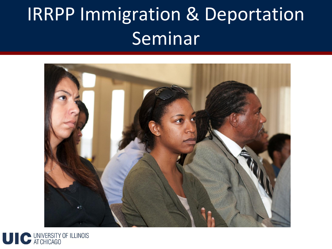## IRRPP Immigration & Deportation Seminar